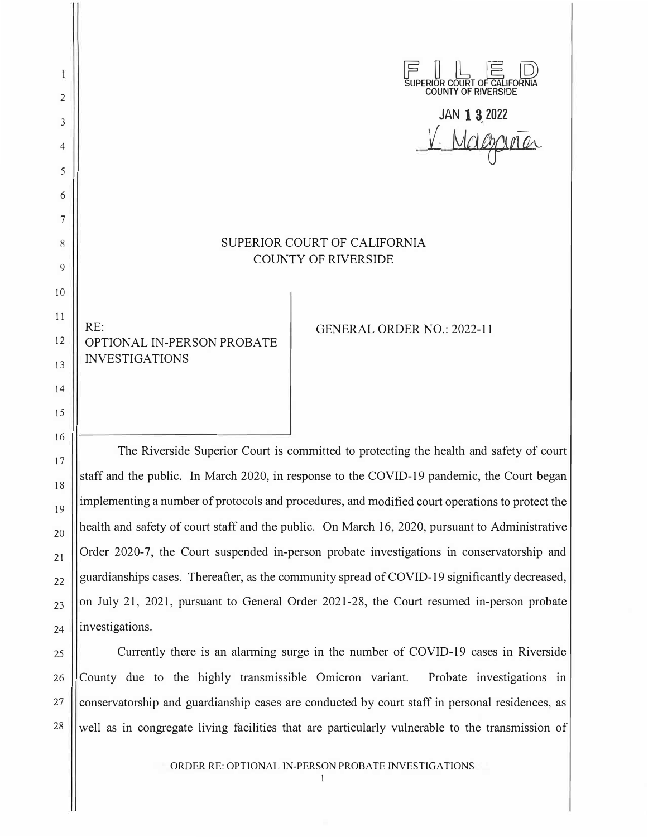$F \perp E \trianglerighteq 0$ Ĩ SUPERIOR COURT OF CALIFORNIA COUNTY OF RIVERSIDE 2 **JAN 1 3,2022**  3 V. Magaria 4 5 6 7 SUPERIOR COURT OF CALIFORNIA 8 COUNTY OF RIVERSIDE 9 10 11 RE: GENERAL ORDER NO.: 2022-11 12 OPTIONAL IN-PERSON PROBATE INVESTIGATIONS 13 14 15

The Riverside Superior Court is committed to protecting the health and safety of court staff and the public. In March 2020, in response to the COVID-19 pandemic, the Court began implementing a number of protocols and procedures, and modified court operations to protect the health and safety of court staff and the public. On March 16, 2020, pursuant to Administrative Order 2020-7, the Court suspended in-person probate investigations in conservatorship and guardianships cases. Thereafter, as the community spread of COVID-19 significantly decreased, on July 21, 2021, pursuant to General Order 2021-28, the Court resumed in-person probate investigations.

16

17

18

19

20

21

22

23

24

25

Currently there is an alarming surge in the number of COVID-19 cases in Riverside County due to the highly transmissible Omicron variant. Probate investigations in | conservatorship and guardianship cases are conducted by court staff in personal residences, as | well as in congregate living facilities that are particularly vulnerable to the transmission of

> ORDER RE: OPTIONAL IN-PERSON PROBATE INVESTIGATIONS 1